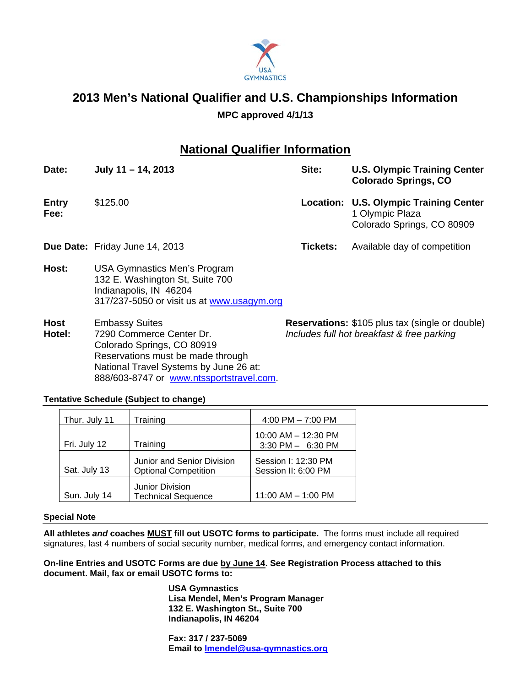

# **2013 Men's National Qualifier and U.S. Championships Information**

### **MPC approved 4/1/13**

## **National Qualifier Information**

| Date:                | July $11 - 14$ , 2013                                                                                                                          | Site:    | <b>U.S. Olympic Training Center</b><br><b>Colorado Springs, CO</b>                      |
|----------------------|------------------------------------------------------------------------------------------------------------------------------------------------|----------|-----------------------------------------------------------------------------------------|
| <b>Entry</b><br>Fee: | \$125.00                                                                                                                                       |          | Location: U.S. Olympic Training Center<br>1 Olympic Plaza<br>Colorado Springs, CO 80909 |
|                      | Due Date: Friday June 14, 2013                                                                                                                 | Tickets: | Available day of competition                                                            |
| Host:                | <b>USA Gymnastics Men's Program</b><br>132 E. Washington St, Suite 700<br>Indianapolis, IN 46204<br>317/237-5050 or visit us at www.usagym.org |          |                                                                                         |
|                      | المتماثلات فالمتموع والمواقف                                                                                                                   |          |                                                                                         |

**Hotel:** 7290 Commerce Center Dr. *Includes full hot breakfast & free parking* Colorado Springs, CO 80919 Reservations must be made through National Travel Systems by June 26 at: 888/603-8747 or www.ntssportstravel.com.

**Host** Embassy Suites **Reservations:** \$105 plus tax (single or double)

#### **Tentative Schedule (Subject to change)**

| Thur. July 11 | Training                                                  | 4:00 PM $-$ 7:00 PM                        |
|---------------|-----------------------------------------------------------|--------------------------------------------|
| Fri. July 12  | Training                                                  | 10:00 AM - 12:30 PM<br>3:30 PM - 6:30 PM   |
| Sat. July 13  | Junior and Senior Division<br><b>Optional Competition</b> | Session I: 12:30 PM<br>Session II: 6:00 PM |
| Sun. July 14  | <b>Junior Division</b><br><b>Technical Sequence</b>       | $11:00$ AM $- 1:00$ PM                     |

#### **Special Note**

**All athletes** *and* **coaches MUST fill out USOTC forms to participate.** The forms must include all required signatures, last 4 numbers of social security number, medical forms, and emergency contact information.

**On-line Entries and USOTC Forms are due by June 14. See Registration Process attached to this document. Mail, fax or email USOTC forms to:** 

> **USA Gymnastics Lisa Mendel, Men's Program Manager 132 E. Washington St., Suite 700 Indianapolis, IN 46204**

**Fax: 317 / 237-5069 Email to lmendel@usa-gymnastics.org**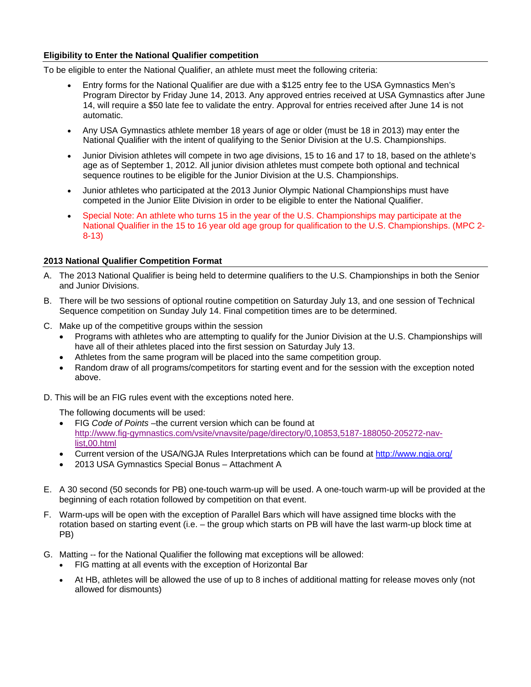#### **Eligibility to Enter the National Qualifier competition**

To be eligible to enter the National Qualifier, an athlete must meet the following criteria:

- Entry forms for the National Qualifier are due with a \$125 entry fee to the USA Gymnastics Men's Program Director by Friday June 14, 2013. Any approved entries received at USA Gymnastics after June 14, will require a \$50 late fee to validate the entry. Approval for entries received after June 14 is not automatic.
- Any USA Gymnastics athlete member 18 years of age or older (must be 18 in 2013) may enter the National Qualifier with the intent of qualifying to the Senior Division at the U.S. Championships.
- Junior Division athletes will compete in two age divisions, 15 to 16 and 17 to 18, based on the athlete's age as of September 1, 2012. All junior division athletes must compete both optional and technical sequence routines to be eligible for the Junior Division at the U.S. Championships.
- Junior athletes who participated at the 2013 Junior Olympic National Championships must have competed in the Junior Elite Division in order to be eligible to enter the National Qualifier.
- Special Note: An athlete who turns 15 in the year of the U.S. Championships may participate at the National Qualifier in the 15 to 16 year old age group for qualification to the U.S. Championships. (MPC 2- 8-13)

#### **2013 National Qualifier Competition Format**

- A. The 2013 National Qualifier is being held to determine qualifiers to the U.S. Championships in both the Senior and Junior Divisions.
- B. There will be two sessions of optional routine competition on Saturday July 13, and one session of Technical Sequence competition on Sunday July 14. Final competition times are to be determined.
- C. Make up of the competitive groups within the session
	- Programs with athletes who are attempting to qualify for the Junior Division at the U.S. Championships will have all of their athletes placed into the first session on Saturday July 13.
	- Athletes from the same program will be placed into the same competition group.
	- Random draw of all programs/competitors for starting event and for the session with the exception noted above.
- D. This will be an FIG rules event with the exceptions noted here.

The following documents will be used:

- FIG *Code of Points* –the current version which can be found at [http://www.fig-gymnastics.com/vsite/vnavsite/page/directory/0,10853,5187-188050-205272-nav](http://www.fig-gymnastics.com/vsite/vnavsite/page/directory/0,10853,5187-188050-205272-nav-list,00.html)list,00.html
- Current version of the USA/NGJA Rules Interpretations which can be found at http://www.ngja.org/
- 2013 USA Gymnastics Special Bonus Attachment A
- E. A 30 second (50 seconds for PB) one-touch warm-up will be used. A one-touch warm-up will be provided at the beginning of each rotation followed by competition on that event.
- F. Warm-ups will be open with the exception of Parallel Bars which will have assigned time blocks with the rotation based on starting event (i.e. – the group which starts on PB will have the last warm-up block time at PB)
- G. Matting -- for the National Qualifier the following mat exceptions will be allowed:
	- FIG matting at all events with the exception of Horizontal Bar
	- At HB, athletes will be allowed the use of up to 8 inches of additional matting for release moves only (not allowed for dismounts)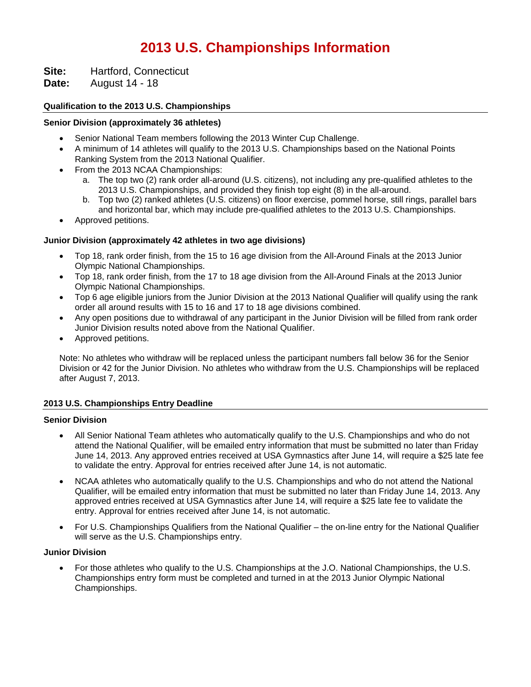## **2013 U.S. Championships Information**

**Site:** Hartford, Connecticut

**Date:** August 14 - 18

#### **Qualification to the 2013 U.S. Championships**

#### **Senior Division (approximately 36 athletes)**

- Senior National Team members following the 2013 Winter Cup Challenge.
- A minimum of 14 athletes will qualify to the 2013 U.S. Championships based on the National Points Ranking System from the 2013 National Qualifier.
- From the 2013 NCAA Championships:
	- a. The top two (2) rank order all-around (U.S. citizens), not including any pre-qualified athletes to the 2013 U.S. Championships, and provided they finish top eight (8) in the all-around.
	- b. Top two (2) ranked athletes (U.S. citizens) on floor exercise, pommel horse, still rings, parallel bars and horizontal bar, which may include pre-qualified athletes to the 2013 U.S. Championships.
- Approved petitions.

#### **Junior Division (approximately 42 athletes in two age divisions)**

- Top 18, rank order finish, from the 15 to 16 age division from the All-Around Finals at the 2013 Junior Olympic National Championships.
- Top 18, rank order finish, from the 17 to 18 age division from the All-Around Finals at the 2013 Junior Olympic National Championships.
- Top 6 age eligible juniors from the Junior Division at the 2013 National Qualifier will qualify using the rank order all around results with 15 to 16 and 17 to 18 age divisions combined.
- Any open positions due to withdrawal of any participant in the Junior Division will be filled from rank order Junior Division results noted above from the National Qualifier.
- Approved petitions.

Note: No athletes who withdraw will be replaced unless the participant numbers fall below 36 for the Senior Division or 42 for the Junior Division. No athletes who withdraw from the U.S. Championships will be replaced after August 7, 2013.

#### **2013 U.S. Championships Entry Deadline**

#### **Senior Division**

- All Senior National Team athletes who automatically qualify to the U.S. Championships and who do not attend the National Qualifier, will be emailed entry information that must be submitted no later than Friday June 14, 2013. Any approved entries received at USA Gymnastics after June 14, will require a \$25 late fee to validate the entry. Approval for entries received after June 14, is not automatic.
- NCAA athletes who automatically qualify to the U.S. Championships and who do not attend the National Qualifier, will be emailed entry information that must be submitted no later than Friday June 14, 2013. Any approved entries received at USA Gymnastics after June 14, will require a \$25 late fee to validate the entry. Approval for entries received after June 14, is not automatic.
- For U.S. Championships Qualifiers from the National Qualifier the on-line entry for the National Qualifier will serve as the U.S. Championships entry.

#### **Junior Division**

 For those athletes who qualify to the U.S. Championships at the J.O. National Championships, the U.S. Championships entry form must be completed and turned in at the 2013 Junior Olympic National Championships.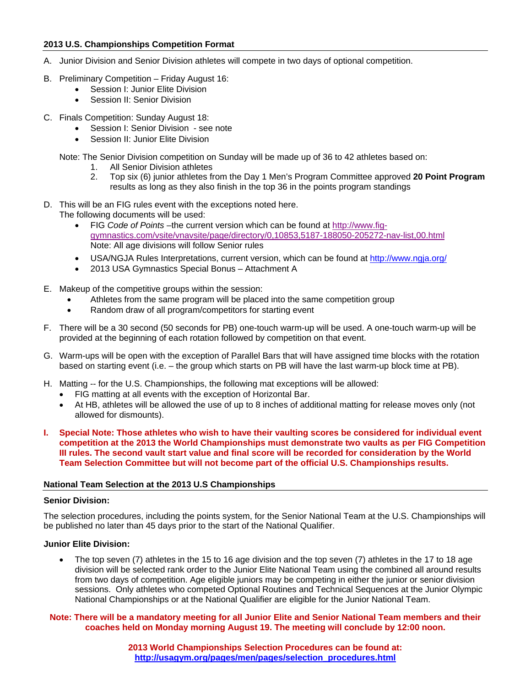#### **2013 U.S. Championships Competition Format**

- A. Junior Division and Senior Division athletes will compete in two days of optional competition.
- B. Preliminary Competition Friday August 16:
	- Session I: Junior Elite Division
	- Session II: Senior Division
- C. Finals Competition: Sunday August 18:
	- Session I: Senior Division see note
	- Session II: Junior Elite Division

Note: The Senior Division competition on Sunday will be made up of 36 to 42 athletes based on:

- 1. All Senior Division athletes
- 2. Top six (6) junior athletes from the Day 1 Men's Program Committee approved **20 Point Program** results as long as they also finish in the top 36 in the points program standings
- D. This will be an FIG rules event with the exceptions noted here.
- The following documents will be used:
	- FIG Code of Points-the current version which can be found at http://www.fig[gymnastics.com/vsite/vnavsite/page/directory/0,10853,5187-188050-205272-nav-list,00.html](http://www.fig-gymnastics.com/vsite/vnavsite/page/directory/0,10853,5187-188050-205272-nav-list,00.html) Note: All age divisions will follow Senior rules
	- USA/NGJA Rules Interpretations, current version, which can be found at http://www.ngja.org/
	- 2013 USA Gymnastics Special Bonus Attachment A
- E. Makeup of the competitive groups within the session:
	- Athletes from the same program will be placed into the same competition group
	- Random draw of all program/competitors for starting event
- F. There will be a 30 second (50 seconds for PB) one-touch warm-up will be used. A one-touch warm-up will be provided at the beginning of each rotation followed by competition on that event.
- G. Warm-ups will be open with the exception of Parallel Bars that will have assigned time blocks with the rotation based on starting event (i.e. – the group which starts on PB will have the last warm-up block time at PB).
- H. Matting -- for the U.S. Championships, the following mat exceptions will be allowed:
	- FIG matting at all events with the exception of Horizontal Bar.
	- At HB, athletes will be allowed the use of up to 8 inches of additional matting for release moves only (not allowed for dismounts).
- **I. Special Note: Those athletes who wish to have their vaulting scores be considered for individual event competition at the 2013 the World Championships must demonstrate two vaults as per FIG Competition III rules. The second vault start value and final score will be recorded for consideration by the World Team Selection Committee but will not become part of the official U.S. Championships results.**

#### **National Team Selection at the 2013 U.S Championships**

#### **Senior Division:**

The selection procedures, including the points system, for the Senior National Team at the U.S. Championships will be published no later than 45 days prior to the start of the National Qualifier.

#### **Junior Elite Division:**

 The top seven (7) athletes in the 15 to 16 age division and the top seven (7) athletes in the 17 to 18 age division will be selected rank order to the Junior Elite National Team using the combined all around results from two days of competition. Age eligible juniors may be competing in either the junior or senior division sessions. Only athletes who competed Optional Routines and Technical Sequences at the Junior Olympic National Championships or at the National Qualifier are eligible for the Junior National Team.

#### **Note: There will be a mandatory meeting for all Junior Elite and Senior National Team members and their coaches held on Monday morning August 19. The meeting will conclude by 12:00 noon.**

**2013 World Championships Selection Procedures can be found at: http://usagym.org/pages/men/pages/selection\_procedures.html**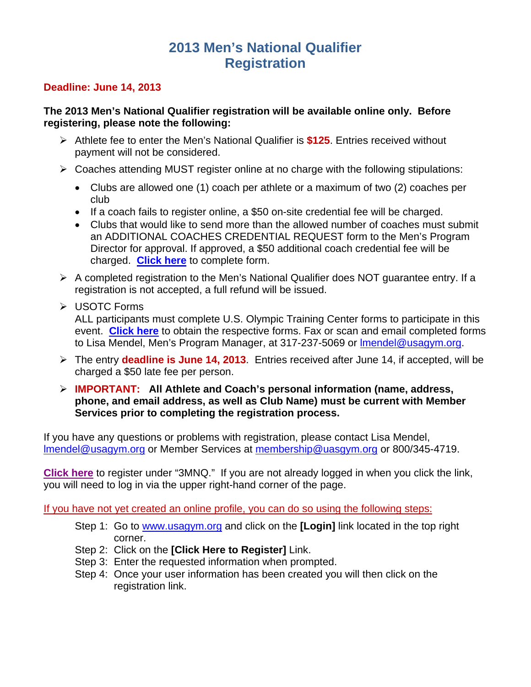## **2013 Men's National Qualifier Registration**

## **Deadline: June 14, 2013**

### **The 2013 Men's National Qualifier registration will be available online only. Before registering, please note the following:**

- Athlete fee to enter the Men's National Qualifier is **\$125**. Entries received without payment will not be considered.
- $\triangleright$  Coaches attending MUST register online at no charge with the following stipulations:
	- Clubs are allowed one (1) coach per athlete or a maximum of two (2) coaches per club
	- If a coach fails to register online, a \$50 on-site credential fee will be charged.
	- Clubs that would like to send more than the allowed number of coaches must submit an ADDITIONAL COACHES CREDENTIAL REQUEST form to the Men's Program Director for approval. If approved, a \$50 additional coach credential fee will be charged. **[Click here](http://usagym.org/PDFs/Forms/Men/addlCoachCredential.pdf)** to complete form.
- $\triangleright$  A completed registration to the Men's National Qualifier does NOT guarantee entry. If a registration is not accepted, a full refund will be issued.
- USOTC Forms

ALL participants must complete U.S. Olympic Training Center forms to participate in this event. **[Click here](http://usagym.org/pages/home/pages/forms.html?prog=m#mens)** to obtain the respective forms. Fax or scan and email completed forms to Lisa Mendel, Men's Program Manager, at 317-237-5069 or lmendel@usagym.org.

- The entry **deadline is June 14, 2013**. Entries received after June 14, if accepted, will be charged a \$50 late fee per person.
- **IMPORTANT: All Athlete and Coach's personal information (name, address, phone, and email address, as well as Club Name) must be current with Member Services prior to completing the registration process.**

If you have any questions or problems with registration, please contact Lisa Mendel, lmendel@usagym.org or Member Services at membership@uasgym.org or 800/345-4719.

**[Click here](http://usagym.org/pages/membership/pages/club-group-processing.html)** to register under "3MNQ." If you are not already logged in when you click the link, you will need to log in via the upper right-hand corner of the page.

If you have not yet created an online profile, you can do so using the following steps:

- Step 1: Go to www.usagym.org and click on the **[Login]** link located in the top right corner.
- Step 2: Click on the **[Click Here to Register]** Link.
- Step 3: Enter the requested information when prompted.
- Step 4: Once your user information has been created you will then click on the registration link.